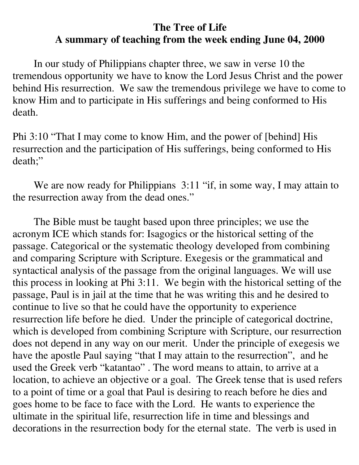## **The Tree of Life A summary of teaching from the week ending June 04, 2000**

In our study of Philippians chapter three, we saw in verse 10 the tremendous opportunity we have to know the Lord Jesus Christ and the power behind His resurrection. We saw the tremendous privilege we have to come to know Him and to participate in His sufferings and being conformed to His death.

Phi 3:10 "That I may come to know Him, and the power of [behind] His resurrection and the participation of His sufferings, being conformed to His death;"

We are now ready for Philippians 3:11 "if, in some way, I may attain to the resurrection away from the dead ones."

The Bible must be taught based upon three principles; we use the acronym ICE which stands for: Isagogics or the historical setting of the passage. Categorical or the systematic theology developed from combining and comparing Scripture with Scripture. Exegesis or the grammatical and syntactical analysis of the passage from the original languages. We will use this process in looking at Phi 3:11. We begin with the historical setting of the passage, Paul is in jail at the time that he was writing this and he desired to continue to live so that he could have the opportunity to experience resurrection life before he died. Under the principle of categorical doctrine, which is developed from combining Scripture with Scripture, our resurrection does not depend in any way on our merit. Under the principle of exegesis we have the apostle Paul saying "that I may attain to the resurrection", and he used the Greek verb "katantao" . The word means to attain, to arrive at a location, to achieve an objective or a goal. The Greek tense that is used refers to a point of time or a goal that Paul is desiring to reach before he dies and goes home to be face to face with the Lord. He wants to experience the ultimate in the spiritual life, resurrection life in time and blessings and decorations in the resurrection body for the eternal state. The verb is used in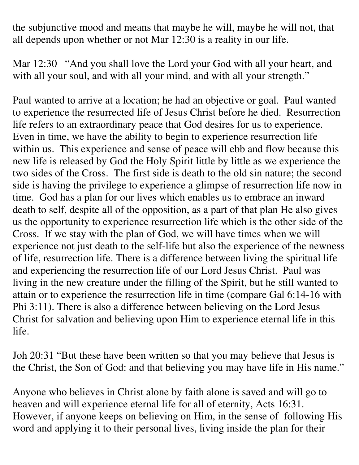the subjunctive mood and means that maybe he will, maybe he will not, that all depends upon whether or not Mar 12:30 is a reality in our life.

Mar 12:30 "And you shall love the Lord your God with all your heart, and with all your soul, and with all your mind, and with all your strength."

Paul wanted to arrive at a location; he had an objective or goal. Paul wanted to experience the resurrected life of Jesus Christ before he died. Resurrection life refers to an extraordinary peace that God desires for us to experience. Even in time, we have the ability to begin to experience resurrection life within us. This experience and sense of peace will ebb and flow because this new life is released by God the Holy Spirit little by little as we experience the two sides of the Cross. The first side is death to the old sin nature; the second side is having the privilege to experience a glimpse of resurrection life now in time. God has a plan for our lives which enables us to embrace an inward death to self, despite all of the opposition, as a part of that plan He also gives us the opportunity to experience resurrection life which is the other side of the Cross. If we stay with the plan of God, we will have times when we will experience not just death to the self-life but also the experience of the newness of life, resurrection life. There is a difference between living the spiritual life and experiencing the resurrection life of our Lord Jesus Christ. Paul was living in the new creature under the filling of the Spirit, but he still wanted to attain or to experience the resurrection life in time (compare Gal 6:14-16 with Phi 3:11). There is also a difference between believing on the Lord Jesus Christ for salvation and believing upon Him to experience eternal life in this life.

Joh 20:31 "But these have been written so that you may believe that Jesus is the Christ, the Son of God: and that believing you may have life in His name."

Anyone who believes in Christ alone by faith alone is saved and will go to heaven and will experience eternal life for all of eternity, Acts 16:31. However, if anyone keeps on believing on Him, in the sense of following His word and applying it to their personal lives, living inside the plan for their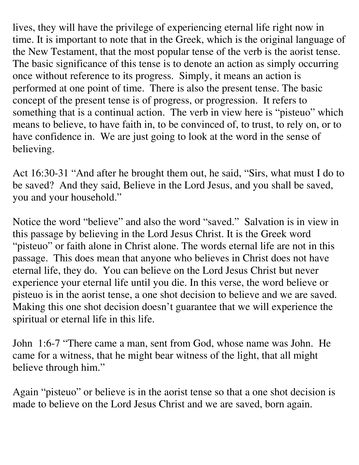lives, they will have the privilege of experiencing eternal life right now in time. It is important to note that in the Greek, which is the original language of the New Testament, that the most popular tense of the verb is the aorist tense. The basic significance of this tense is to denote an action as simply occurring once without reference to its progress. Simply, it means an action is performed at one point of time. There is also the present tense. The basic concept of the present tense is of progress, or progression. It refers to something that is a continual action. The verb in view here is "pisteuo" which means to believe, to have faith in, to be convinced of, to trust, to rely on, or to have confidence in. We are just going to look at the word in the sense of believing.

Act 16:30-31 "And after he brought them out, he said, "Sirs, what must I do to be saved? And they said, Believe in the Lord Jesus, and you shall be saved, you and your household."

Notice the word "believe" and also the word "saved." Salvation is in view in this passage by believing in the Lord Jesus Christ. It is the Greek word "pisteuo" or faith alone in Christ alone. The words eternal life are not in this passage. This does mean that anyone who believes in Christ does not have eternal life, they do. You can believe on the Lord Jesus Christ but never experience your eternal life until you die. In this verse, the word believe or pisteuo is in the aorist tense, a one shot decision to believe and we are saved. Making this one shot decision doesn't guarantee that we will experience the spiritual or eternal life in this life.

John 1:6-7 "There came a man, sent from God, whose name was John. He came for a witness, that he might bear witness of the light, that all might believe through him."

Again "pisteuo" or believe is in the aorist tense so that a one shot decision is made to believe on the Lord Jesus Christ and we are saved, born again.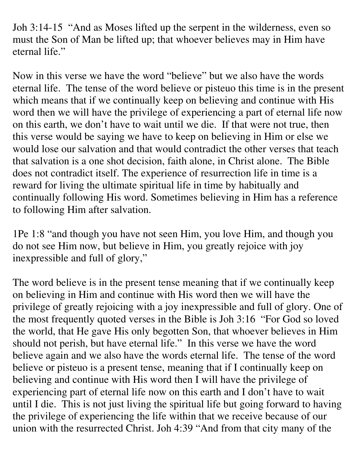Joh 3:14-15 "And as Moses lifted up the serpent in the wilderness, even so must the Son of Man be lifted up; that whoever believes may in Him have eternal life."

Now in this verse we have the word "believe" but we also have the words eternal life. The tense of the word believe or pisteuo this time is in the present which means that if we continually keep on believing and continue with His word then we will have the privilege of experiencing a part of eternal life now on this earth, we don't have to wait until we die. If that were not true, then this verse would be saying we have to keep on believing in Him or else we would lose our salvation and that would contradict the other verses that teach that salvation is a one shot decision, faith alone, in Christ alone. The Bible does not contradict itself. The experience of resurrection life in time is a reward for living the ultimate spiritual life in time by habitually and continually following His word. Sometimes believing in Him has a reference to following Him after salvation.

1Pe 1:8 "and though you have not seen Him, you love Him, and though you do not see Him now, but believe in Him, you greatly rejoice with joy inexpressible and full of glory,"

The word believe is in the present tense meaning that if we continually keep on believing in Him and continue with His word then we will have the privilege of greatly rejoicing with a joy inexpressible and full of glory. One of the most frequently quoted verses in the Bible is Joh 3:16 "For God so loved the world, that He gave His only begotten Son, that whoever believes in Him should not perish, but have eternal life." In this verse we have the word believe again and we also have the words eternal life. The tense of the word believe or pisteuo is a present tense, meaning that if I continually keep on believing and continue with His word then I will have the privilege of experiencing part of eternal life now on this earth and I don't have to wait until I die. This is not just living the spiritual life but going forward to having the privilege of experiencing the life within that we receive because of our union with the resurrected Christ. Joh 4:39 "And from that city many of the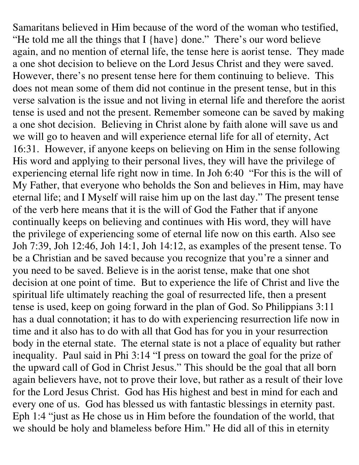Samaritans believed in Him because of the word of the woman who testified, "He told me all the things that I {have} done." There's our word believe again, and no mention of eternal life, the tense here is aorist tense. They made a one shot decision to believe on the Lord Jesus Christ and they were saved. However, there's no present tense here for them continuing to believe. This does not mean some of them did not continue in the present tense, but in this verse salvation is the issue and not living in eternal life and therefore the aorist tense is used and not the present. Remember someone can be saved by making a one shot decision. Believing in Christ alone by faith alone will save us and we will go to heaven and will experience eternal life for all of eternity, Act 16:31. However, if anyone keeps on believing on Him in the sense following His word and applying to their personal lives, they will have the privilege of experiencing eternal life right now in time. In Joh 6:40 "For this is the will of My Father, that everyone who beholds the Son and believes in Him, may have eternal life; and I Myself will raise him up on the last day." The present tense of the verb here means that it is the will of God the Father that if anyone continually keeps on believing and continues with His word, they will have the privilege of experiencing some of eternal life now on this earth. Also see Joh 7:39, Joh 12:46, Joh 14:1, Joh 14:12, as examples of the present tense. To be a Christian and be saved because you recognize that you're a sinner and you need to be saved. Believe is in the aorist tense, make that one shot decision at one point of time. But to experience the life of Christ and live the spiritual life ultimately reaching the goal of resurrected life, then a present tense is used, keep on going forward in the plan of God. So Philippians 3:11 has a dual connotation; it has to do with experiencing resurrection life now in time and it also has to do with all that God has for you in your resurrection body in the eternal state. The eternal state is not a place of equality but rather inequality. Paul said in Phi 3:14 "I press on toward the goal for the prize of the upward call of God in Christ Jesus." This should be the goal that all born again believers have, not to prove their love, but rather as a result of their love for the Lord Jesus Christ. God has His highest and best in mind for each and every one of us. God has blessed us with fantastic blessings in eternity past. Eph 1:4 "just as He chose us in Him before the foundation of the world, that we should be holy and blameless before Him." He did all of this in eternity